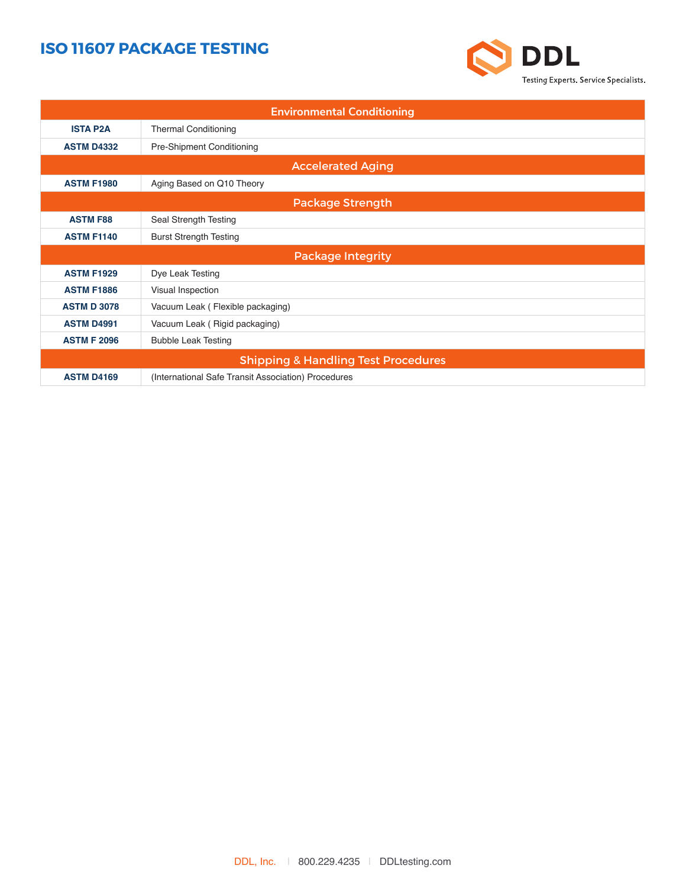## **ISO 11607 PACKAGE TESTING**



| <b>Environmental Conditioning</b>              |                                                     |  |  |
|------------------------------------------------|-----------------------------------------------------|--|--|
| <b>ISTA P2A</b>                                | <b>Thermal Conditioning</b>                         |  |  |
| <b>ASTM D4332</b>                              | Pre-Shipment Conditioning                           |  |  |
| <b>Accelerated Aging</b>                       |                                                     |  |  |
| <b>ASTM F1980</b>                              | Aging Based on Q10 Theory                           |  |  |
| <b>Package Strength</b>                        |                                                     |  |  |
| <b>ASTM F88</b>                                | Seal Strength Testing                               |  |  |
| <b>ASTM F1140</b>                              | <b>Burst Strength Testing</b>                       |  |  |
|                                                | <b>Package Integrity</b>                            |  |  |
| <b>ASTM F1929</b>                              | Dye Leak Testing                                    |  |  |
| <b>ASTM F1886</b>                              | Visual Inspection                                   |  |  |
| <b>ASTM D 3078</b>                             | Vacuum Leak (Flexible packaging)                    |  |  |
| <b>ASTM D4991</b>                              | Vacuum Leak (Rigid packaging)                       |  |  |
| <b>ASTM F 2096</b>                             | <b>Bubble Leak Testing</b>                          |  |  |
| <b>Shipping &amp; Handling Test Procedures</b> |                                                     |  |  |
| <b>ASTM D4169</b>                              | (International Safe Transit Association) Procedures |  |  |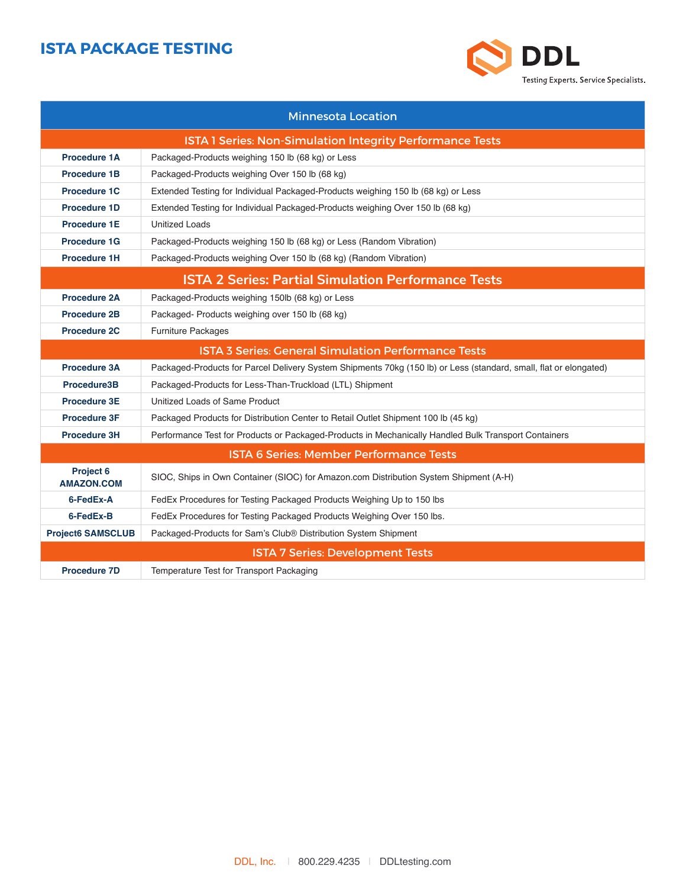## **ISTA PACKAGE TESTING**



| <b>Minnesota Location</b>                                        |                                                                                                                   |  |
|------------------------------------------------------------------|-------------------------------------------------------------------------------------------------------------------|--|
| <b>ISTA 1 Series: Non-Simulation Integrity Performance Tests</b> |                                                                                                                   |  |
| <b>Procedure 1A</b>                                              | Packaged-Products weighing 150 lb (68 kg) or Less                                                                 |  |
| <b>Procedure 1B</b>                                              | Packaged-Products weighing Over 150 lb (68 kg)                                                                    |  |
| <b>Procedure 1C</b>                                              | Extended Testing for Individual Packaged-Products weighing 150 lb (68 kg) or Less                                 |  |
| <b>Procedure 1D</b>                                              | Extended Testing for Individual Packaged-Products weighing Over 150 lb (68 kg)                                    |  |
| <b>Procedure 1E</b>                                              | <b>Unitized Loads</b>                                                                                             |  |
| <b>Procedure 1G</b>                                              | Packaged-Products weighing 150 lb (68 kg) or Less (Random Vibration)                                              |  |
| <b>Procedure 1H</b>                                              | Packaged-Products weighing Over 150 lb (68 kg) (Random Vibration)                                                 |  |
| <b>ISTA 2 Series: Partial Simulation Performance Tests</b>       |                                                                                                                   |  |
| <b>Procedure 2A</b>                                              | Packaged-Products weighing 150lb (68 kg) or Less                                                                  |  |
| <b>Procedure 2B</b>                                              | Packaged-Products weighing over 150 lb (68 kg)                                                                    |  |
| <b>Procedure 2C</b>                                              | Furniture Packages                                                                                                |  |
|                                                                  | <b>ISTA 3 Series: General Simulation Performance Tests</b>                                                        |  |
| <b>Procedure 3A</b>                                              | Packaged-Products for Parcel Delivery System Shipments 70kg (150 lb) or Less (standard, small, flat or elongated) |  |
| Procedure3B                                                      | Packaged-Products for Less-Than-Truckload (LTL) Shipment                                                          |  |
| <b>Procedure 3E</b>                                              | Unitized Loads of Same Product                                                                                    |  |
| <b>Procedure 3F</b>                                              | Packaged Products for Distribution Center to Retail Outlet Shipment 100 lb (45 kg)                                |  |
| <b>Procedure 3H</b>                                              | Performance Test for Products or Packaged-Products in Mechanically Handled Bulk Transport Containers              |  |
| <b>ISTA 6 Series: Member Performance Tests</b>                   |                                                                                                                   |  |
| Project 6<br><b>AMAZON.COM</b>                                   | SIOC, Ships in Own Container (SIOC) for Amazon.com Distribution System Shipment (A-H)                             |  |
| 6-FedEx-A                                                        | FedEx Procedures for Testing Packaged Products Weighing Up to 150 lbs                                             |  |
| 6-FedEx-B                                                        | FedEx Procedures for Testing Packaged Products Weighing Over 150 lbs.                                             |  |
| <b>Project6 SAMSCLUB</b>                                         | Packaged-Products for Sam's Club® Distribution System Shipment                                                    |  |
| <b>ISTA 7 Series: Development Tests</b>                          |                                                                                                                   |  |
| <b>Procedure 7D</b>                                              | Temperature Test for Transport Packaging                                                                          |  |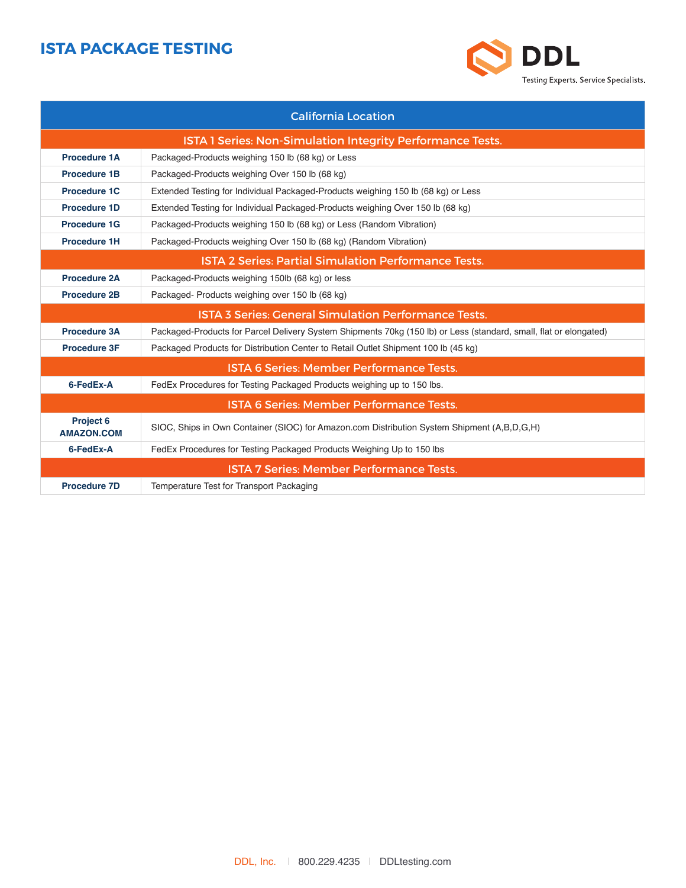## **ISTA PACKAGE TESTING**



| <b>California Location</b>                                  |                                                                                                                   |  |
|-------------------------------------------------------------|-------------------------------------------------------------------------------------------------------------------|--|
| ISTA 1 Series: Non-Simulation Integrity Performance Tests.  |                                                                                                                   |  |
| <b>Procedure 1A</b>                                         | Packaged-Products weighing 150 lb (68 kg) or Less                                                                 |  |
| <b>Procedure 1B</b>                                         | Packaged-Products weighing Over 150 lb (68 kg)                                                                    |  |
| <b>Procedure 1C</b>                                         | Extended Testing for Individual Packaged-Products weighing 150 lb (68 kg) or Less                                 |  |
| <b>Procedure 1D</b>                                         | Extended Testing for Individual Packaged-Products weighing Over 150 lb (68 kg)                                    |  |
| <b>Procedure 1G</b>                                         | Packaged-Products weighing 150 lb (68 kg) or Less (Random Vibration)                                              |  |
| <b>Procedure 1H</b>                                         | Packaged-Products weighing Over 150 lb (68 kg) (Random Vibration)                                                 |  |
| <b>ISTA 2 Series: Partial Simulation Performance Tests.</b> |                                                                                                                   |  |
| <b>Procedure 2A</b>                                         | Packaged-Products weighing 150lb (68 kg) or less                                                                  |  |
| <b>Procedure 2B</b>                                         | Packaged-Products weighing over 150 lb (68 kg)                                                                    |  |
| <b>ISTA 3 Series: General Simulation Performance Tests.</b> |                                                                                                                   |  |
| <b>Procedure 3A</b>                                         | Packaged-Products for Parcel Delivery System Shipments 70kg (150 lb) or Less (standard, small, flat or elongated) |  |
| <b>Procedure 3F</b>                                         | Packaged Products for Distribution Center to Retail Outlet Shipment 100 lb (45 kg)                                |  |
| <b>ISTA 6 Series: Member Performance Tests.</b>             |                                                                                                                   |  |
| 6-FedEx-A                                                   | FedEx Procedures for Testing Packaged Products weighing up to 150 lbs.                                            |  |
| <b>ISTA 6 Series: Member Performance Tests.</b>             |                                                                                                                   |  |
| <b>Project 6</b><br><b>AMAZON.COM</b>                       | SIOC, Ships in Own Container (SIOC) for Amazon.com Distribution System Shipment (A,B,D,G,H)                       |  |
| 6-FedEx-A                                                   | FedEx Procedures for Testing Packaged Products Weighing Up to 150 lbs                                             |  |
| <b>ISTA 7 Series: Member Performance Tests.</b>             |                                                                                                                   |  |
| <b>Procedure 7D</b>                                         | Temperature Test for Transport Packaging                                                                          |  |